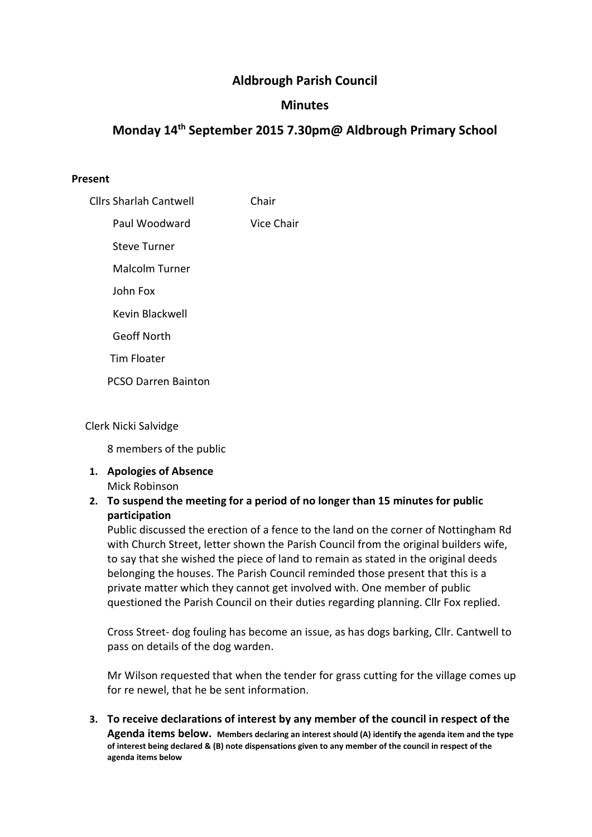# Aldbrough Parish Council

## **Minutes**

# Monday 14th September 2015 7.30pm@ Aldbrough Primary School

#### Present

| <b>Cllrs Sharlah Cantwell</b> | Chair      |
|-------------------------------|------------|
| Paul Woodward                 | Vice Chair |
| Steve Turner                  |            |
| <b>Malcolm Turner</b>         |            |
| John Fox                      |            |
| Kevin Blackwell               |            |
| <b>Geoff North</b>            |            |
| <b>Tim Floater</b>            |            |
| <b>PCSO Darren Bainton</b>    |            |
|                               |            |

#### Clerk Nicki Salvidge

8 members of the public

1. Apologies of Absence Mick Robinson

## 2. To suspend the meeting for a period of no longer than 15 minutes for public participation

Public discussed the erection of a fence to the land on the corner of Nottingham Rd with Church Street, letter shown the Parish Council from the original builders wife, to say that she wished the piece of land to remain as stated in the original deeds belonging the houses. The Parish Council reminded those present that this is a private matter which they cannot get involved with. One member of public questioned the Parish Council on their duties regarding planning. Cllr Fox replied.

Cross Street- dog fouling has become an issue, as has dogs barking, Cllr. Cantwell to pass on details of the dog warden.

Mr Wilson requested that when the tender for grass cutting for the village comes up for re newel, that he be sent information.

3. To receive declarations of interest by any member of the council in respect of the Agenda items below. Members declaring an interest should (A) identify the agenda item and the type of interest being declared & (B) note dispensations given to any member of the council in respect of the agenda items below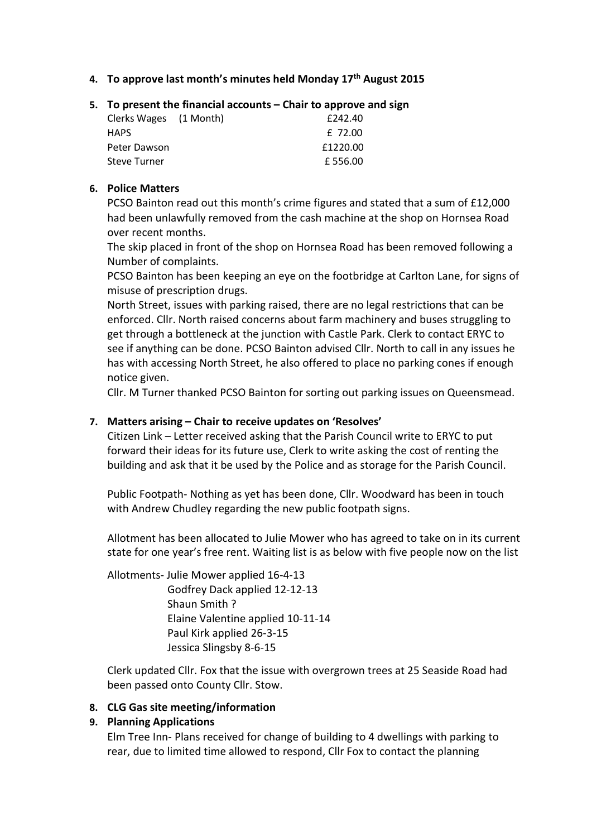- 4. To approve last month's minutes held Monday  $17<sup>th</sup>$  August 2015
- 5. To present the financial accounts Chair to approve and sign

| Clerks Wages (1 Month) | £242.40  |
|------------------------|----------|
| <b>HAPS</b>            | f 72.00  |
| Peter Dawson           | £1220.00 |
| <b>Steve Turner</b>    | £556.00  |

#### 6. Police Matters

PCSO Bainton read out this month's crime figures and stated that a sum of £12,000 had been unlawfully removed from the cash machine at the shop on Hornsea Road over recent months.

The skip placed in front of the shop on Hornsea Road has been removed following a Number of complaints.

PCSO Bainton has been keeping an eye on the footbridge at Carlton Lane, for signs of misuse of prescription drugs.

North Street, issues with parking raised, there are no legal restrictions that can be enforced. Cllr. North raised concerns about farm machinery and buses struggling to get through a bottleneck at the junction with Castle Park. Clerk to contact ERYC to see if anything can be done. PCSO Bainton advised Cllr. North to call in any issues he has with accessing North Street, he also offered to place no parking cones if enough notice given.

Cllr. M Turner thanked PCSO Bainton for sorting out parking issues on Queensmead.

## 7. Matters arising – Chair to receive updates on 'Resolves'

Citizen Link – Letter received asking that the Parish Council write to ERYC to put forward their ideas for its future use, Clerk to write asking the cost of renting the building and ask that it be used by the Police and as storage for the Parish Council.

Public Footpath- Nothing as yet has been done, Cllr. Woodward has been in touch with Andrew Chudley regarding the new public footpath signs.

Allotment has been allocated to Julie Mower who has agreed to take on in its current state for one year's free rent. Waiting list is as below with five people now on the list

Allotments- Julie Mower applied 16-4-13 Godfrey Dack applied 12-12-13 Shaun Smith ? Elaine Valentine applied 10-11-14 Paul Kirk applied 26-3-15 Jessica Slingsby 8-6-15

Clerk updated Cllr. Fox that the issue with overgrown trees at 25 Seaside Road had been passed onto County Cllr. Stow.

## 8. CLG Gas site meeting/information

## 9. Planning Applications

Elm Tree Inn- Plans received for change of building to 4 dwellings with parking to rear, due to limited time allowed to respond, Cllr Fox to contact the planning